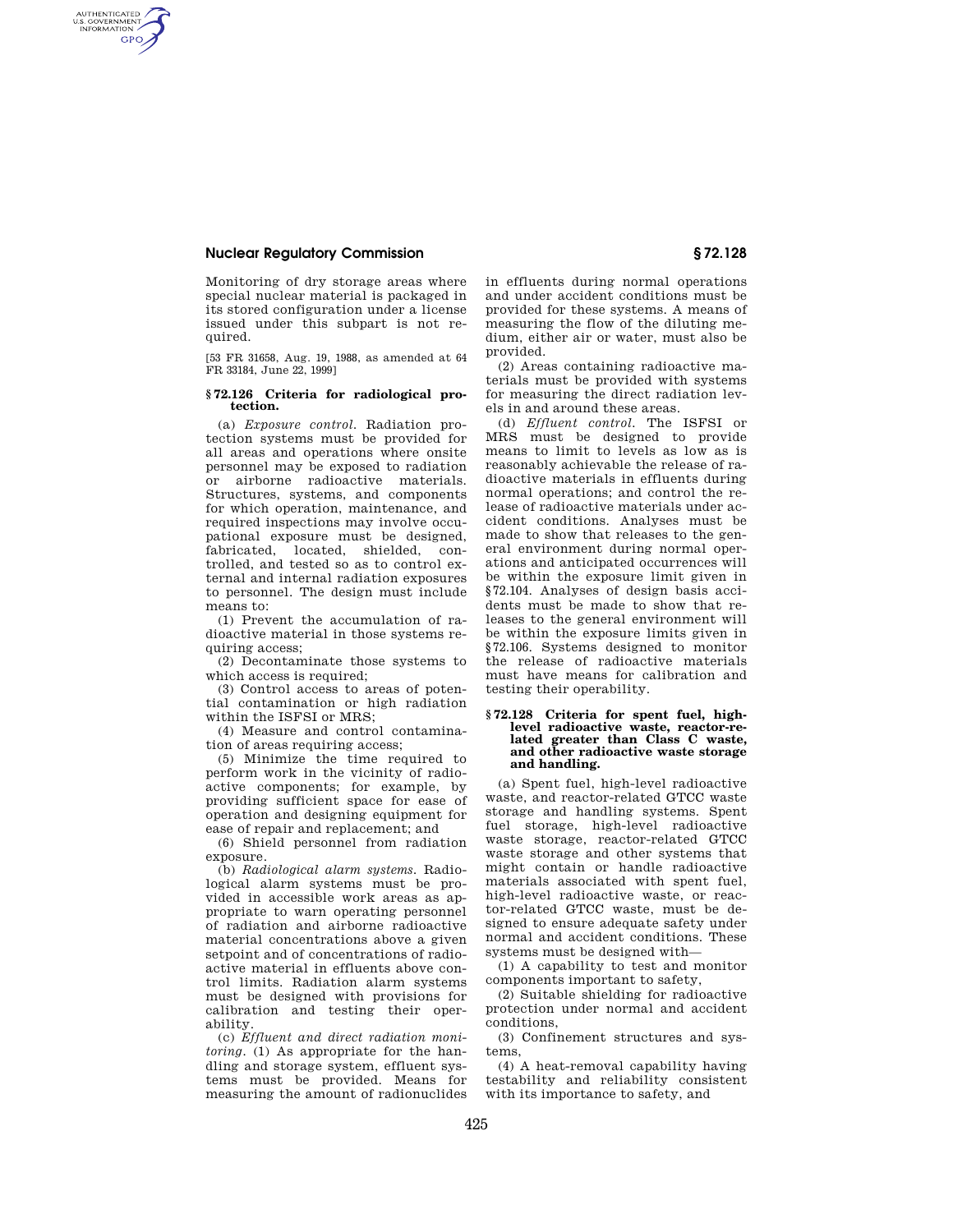# **Nuclear Regulatory Commission § 72.128**

AUTHENTICATED<br>U.S. GOVERNMENT<br>INFORMATION **GPO** 

> Monitoring of dry storage areas where special nuclear material is packaged in its stored configuration under a license issued under this subpart is not required.

[53 FR 31658, Aug. 19, 1988, as amended at 64 FR 33184, June 22, 1999]

#### **§ 72.126 Criteria for radiological protection.**

(a) *Exposure control.* Radiation protection systems must be provided for all areas and operations where onsite personnel may be exposed to radiation or airborne radioactive materials. Structures, systems, and components for which operation, maintenance, and required inspections may involve occupational exposure must be designed, fabricated, located, shielded, controlled, and tested so as to control external and internal radiation exposures to personnel. The design must include means to:

(1) Prevent the accumulation of radioactive material in those systems requiring access;

(2) Decontaminate those systems to which access is required;

(3) Control access to areas of potential contamination or high radiation within the ISFSI or MRS;

(4) Measure and control contamination of areas requiring access;

(5) Minimize the time required to perform work in the vicinity of radioactive components; for example, by providing sufficient space for ease of operation and designing equipment for ease of repair and replacement; and

(6) Shield personnel from radiation exposure.

(b) *Radiological alarm systems.* Radiological alarm systems must be provided in accessible work areas as appropriate to warn operating personnel of radiation and airborne radioactive material concentrations above a given setpoint and of concentrations of radioactive material in effluents above control limits. Radiation alarm systems must be designed with provisions for calibration and testing their operability.

(c) *Effluent and direct radiation monitoring.* (1) As appropriate for the handling and storage system, effluent systems must be provided. Means for measuring the amount of radionuclides in effluents during normal operations and under accident conditions must be provided for these systems. A means of measuring the flow of the diluting medium, either air or water, must also be provided.

(2) Areas containing radioactive materials must be provided with systems for measuring the direct radiation levels in and around these areas.

(d) *Effluent control.* The ISFSI or MRS must be designed to provide means to limit to levels as low as is reasonably achievable the release of radioactive materials in effluents during normal operations; and control the release of radioactive materials under accident conditions. Analyses must be made to show that releases to the general environment during normal operations and anticipated occurrences will be within the exposure limit given in §72.104. Analyses of design basis accidents must be made to show that releases to the general environment will be within the exposure limits given in §72.106. Systems designed to monitor the release of radioactive materials must have means for calibration and testing their operability.

#### **§ 72.128 Criteria for spent fuel, highlevel radioactive waste, reactor-related greater than Class C waste, and other radioactive waste storage and handling.**

(a) Spent fuel, high-level radioactive waste, and reactor-related GTCC waste storage and handling systems. Spent fuel storage, high-level radioactive waste storage, reactor-related GTCC waste storage and other systems that might contain or handle radioactive materials associated with spent fuel, high-level radioactive waste, or reactor-related GTCC waste, must be designed to ensure adequate safety under normal and accident conditions. These systems must be designed with—

(1) A capability to test and monitor components important to safety,

(2) Suitable shielding for radioactive protection under normal and accident conditions,

(3) Confinement structures and systems,

(4) A heat-removal capability having testability and reliability consistent with its importance to safety, and